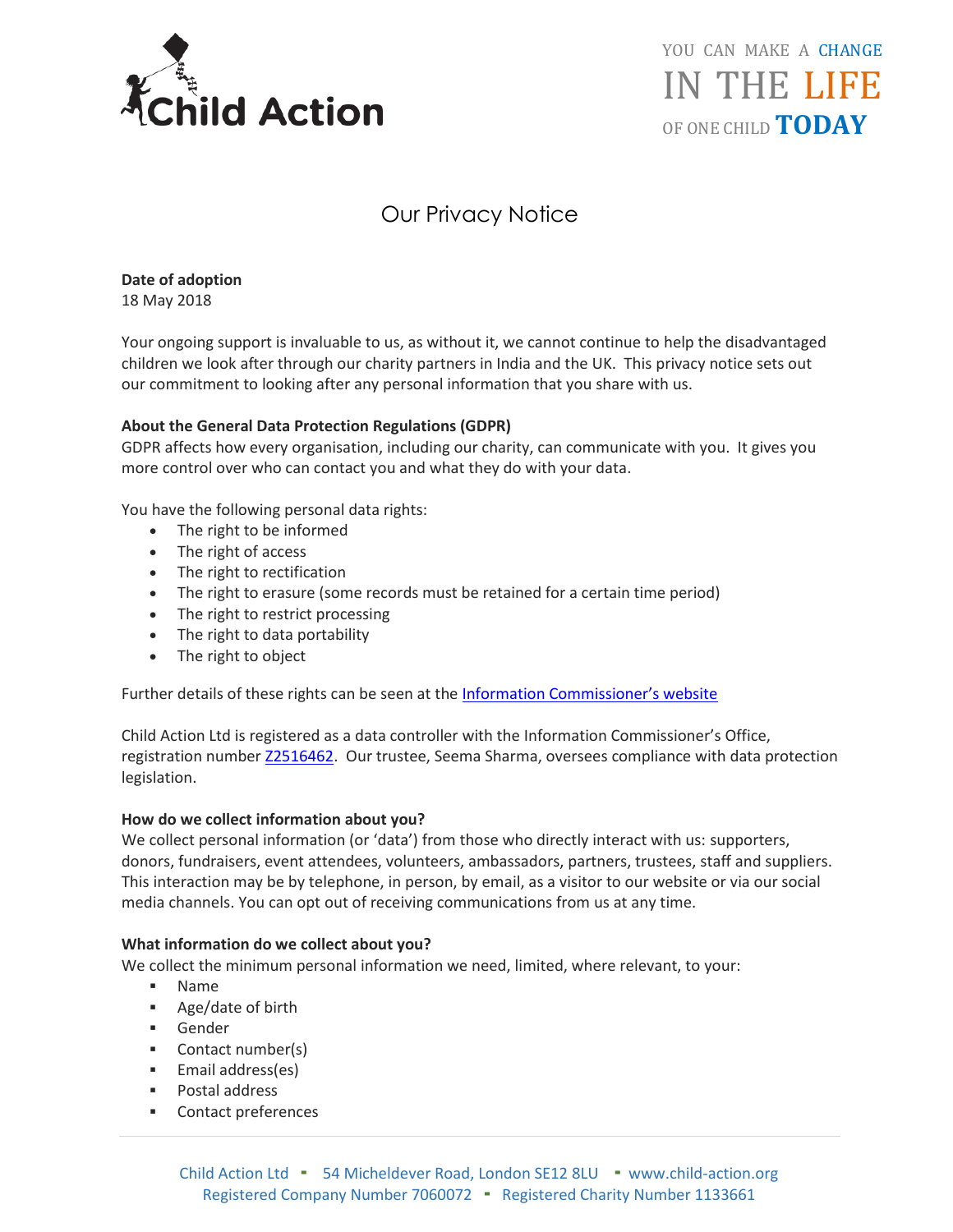

YOU CAN MAKE A CHANGE IN THE LIFE OF ONE CHILD **TODAY**

# Our Privacy Notice

**Date of adoption** 18 May 2018

Your ongoing support is invaluable to us, as without it, we cannot continue to help the disadvantaged children we look after through our charity partners in India and the UK. This privacy notice sets out our commitment to looking after any personal information that you share with us.

# **About the General Data Protection Regulations (GDPR)**

GDPR affects how every organisation, including our charity, can communicate with you. It gives you more control over who can contact you and what they do with your data.

You have the following personal data rights:

- The right to be informed
- The right of access
- The right to rectification
- The right to erasure (some records must be retained for a certain time period)
- The right to restrict processing
- The right to data portability
- The right to object

Further details of these rights can be seen at the [Information Commissioner's website](https://ico.org.uk/for-organisations/guide-to-the-general-data-protection-regulation-gdpr/individual-rights/)

Child Action Ltd is registered as a data controller with the Information Commissioner's Office, registration number [Z2516462.](https://ico.org.uk/ESDWebPages/Entry/ZA312926) Our trustee, Seema Sharma, oversees compliance with data protection legislation.

# **How do we collect information about you?**

We collect personal information (or 'data') from those who directly interact with us: supporters, donors, fundraisers, event attendees, volunteers, ambassadors, partners, trustees, staff and suppliers. This interaction may be by telephone, in person, by email, as a visitor to our website or via our social media channels. You can opt out of receiving communications from us at any time.

#### **What information do we collect about you?**

We collect the minimum personal information we need, limited, where relevant, to your:

- **Name**
- Age/date of birth
- Gender
- Contact number(s)
- Email address(es)
- Postal address
- Contact preferences